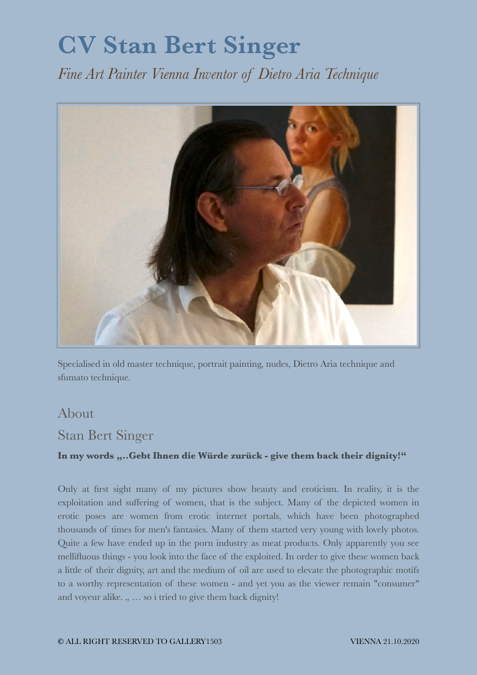## **CV Stan Bert Singer**

*Fine Art Painter Vienna Inventor of Dietro Aria Technique* 



Specialised in old master technique, portrait painting, nudes, Dietro Aria technique and sfumato technique.

## About

## Stan Bert Singer

## **In my words "..Gebt Ihnen die Würde zurück - give them back their dignity!"**

Only at first sight many of my pictures show beauty and eroticism. In reality, it is the exploitation and suffering of women, that is the subject. Many of the depicted women in erotic poses are women from erotic internet portals, which have been photographed thousands of times for men's fantasies. Many of them started very young with lovely photos. Quite a few have ended up in the porn industry as meat products. Only apparently you see mellifluous things - you look into the face of the exploited. In order to give these women back a little of their dignity, art and the medium of oil are used to elevate the photographic motifs to a worthy representation of these women - and yet you as the viewer remain "consumer" and voyeur alike.  $, \ldots$  so i tried to give them back dignity!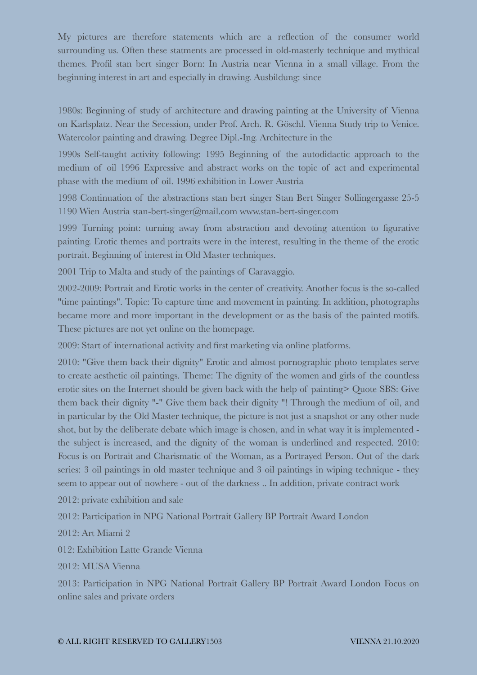My pictures are therefore statements which are a reflection of the consumer world surrounding us. Often these statments are processed in old-masterly technique and mythical themes. Profil stan bert singer Born: In Austria near Vienna in a small village. From the beginning interest in art and especially in drawing. Ausbildung: since

1980s: Beginning of study of architecture and drawing painting at the University of Vienna on Karlsplatz. Near the Secession, under Prof. Arch. R. Göschl. Vienna Study trip to Venice. Watercolor painting and drawing. Degree Dipl.-Ing. Architecture in the

1990s Self-taught activity following: 1995 Beginning of the autodidactic approach to the medium of oil 1996 Expressive and abstract works on the topic of act and experimental phase with the medium of oil. 1996 exhibition in Lower Austria

1998 Continuation of the abstractions stan bert singer Stan Bert Singer Sollingergasse 25-5 1190 Wien Austria stan-bert-singer@mail.com www.stan-bert-singer.com

1999 Turning point: turning away from abstraction and devoting attention to figurative painting. Erotic themes and portraits were in the interest, resulting in the theme of the erotic portrait. Beginning of interest in Old Master techniques.

2001 Trip to Malta and study of the paintings of Caravaggio.

2002-2009: Portrait and Erotic works in the center of creativity. Another focus is the so-called "time paintings". Topic: To capture time and movement in painting. In addition, photographs became more and more important in the development or as the basis of the painted motifs. These pictures are not yet online on the homepage.

2009: Start of international activity and first marketing via online platforms.

2010: "Give them back their dignity" Erotic and almost pornographic photo templates serve to create aesthetic oil paintings. Theme: The dignity of the women and girls of the countless erotic sites on the Internet should be given back with the help of painting> Quote SBS: Give them back their dignity "-" Give them back their dignity "! Through the medium of oil, and in particular by the Old Master technique, the picture is not just a snapshot or any other nude shot, but by the deliberate debate which image is chosen, and in what way it is implemented the subject is increased, and the dignity of the woman is underlined and respected. 2010: Focus is on Portrait and Charismatic of the Woman, as a Portrayed Person. Out of the dark series: 3 oil paintings in old master technique and 3 oil paintings in wiping technique - they seem to appear out of nowhere - out of the darkness .. In addition, private contract work

2012: private exhibition and sale

2012: Participation in NPG National Portrait Gallery BP Portrait Award London

2012: Art Miami 2

012: Exhibition Latte Grande Vienna

2012: MUSA Vienna

2013: Participation in NPG National Portrait Gallery BP Portrait Award London Focus on online sales and private orders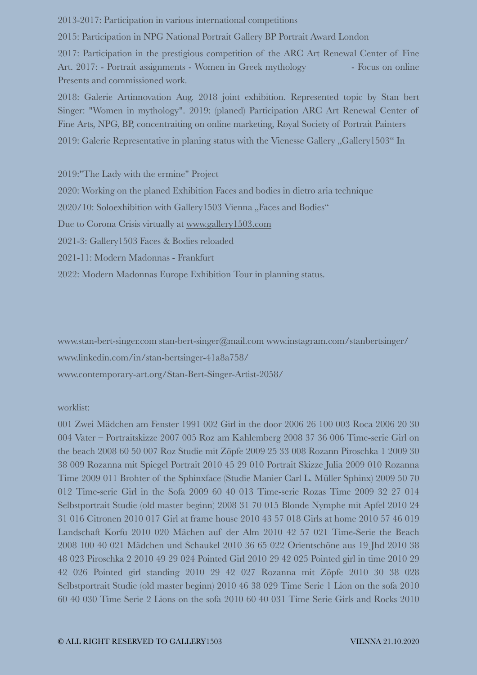2013-2017: Participation in various international competitions

2015: Participation in NPG National Portrait Gallery BP Portrait Award London

2017: Participation in the prestigious competition of the ARC Art Renewal Center of Fine Art. 2017: - Portrait assignments - Women in Greek mythology - Focus on online Presents and commissioned work.

2018: Galerie Artinnovation Aug. 2018 joint exhibition. Represented topic by Stan bert Singer: "Women in mythology". 2019: (planed) Participation ARC Art Renewal Center of Fine Arts, NPG, BP, concentraiting on online marketing, Royal Society of Portrait Painters 2019: Galerie Representative in planing status with the Vienesse Gallery "Gallery1503" In

2019:"The Lady with the ermine" Project 2020: Working on the planed Exhibition Faces and bodies in dietro aria technique 2020/10: Soloexhibition with Gallery1503 Vienna "Faces and Bodies" Due to Corona Crisis virtually at [www.gallery1503.com](http://www.gallery1503.com) 2021-3: Gallery1503 Faces & Bodies reloaded 2021-11: Modern Madonnas - Frankfurt 2022: Modern Madonnas Europe Exhibition Tour in planning status.

www.stan-bert-singer.com stan-bert-singer@mail.com www.instagram.com/stanbertsinger/ www.linkedin.com/in/stan-bertsinger-41a8a758/

www.contemporary-art.org/Stan-Bert-Singer-Artist-2058/

worklist:

001 Zwei Mädchen am Fenster 1991 002 Girl in the door 2006 26 100 003 Roca 2006 20 30 004 Vater – Portraitskizze 2007 005 Roz am Kahlemberg 2008 37 36 006 Time-serie Girl on the beach 2008 60 50 007 Roz Studie mit Zöpfe 2009 25 33 008 Rozann Piroschka 1 2009 30 38 009 Rozanna mit Spiegel Portrait 2010 45 29 010 Portrait Skizze Julia 2009 010 Rozanna Time 2009 011 Brohter of the Sphinxface (Studie Manier Carl L. Müller Sphinx) 2009 50 70 012 Time-serie Girl in the Sofa 2009 60 40 013 Time-serie Rozas Time 2009 32 27 014 Selbstportrait Studie (old master beginn) 2008 31 70 015 Blonde Nymphe mit Apfel 2010 24 31 016 Citronen 2010 017 Girl at frame house 2010 43 57 018 Girls at home 2010 57 46 019 Landschaft Korfu 2010 020 Mächen auf der Alm 2010 42 57 021 Time-Serie the Beach 2008 100 40 021 Mädchen und Schaukel 2010 36 65 022 Orientschöne aus 19 Jhd 2010 38 48 023 Piroschka 2 2010 49 29 024 Pointed Girl 2010 29 42 025 Pointed girl in time 2010 29 42 026 Pointed girl standing 2010 29 42 027 Rozanna mit Zöpfe 2010 30 38 028 Selbstportrait Studie (old master beginn) 2010 46 38 029 Time Serie 1 Lion on the sofa 2010 60 40 030 Time Serie 2 Lions on the sofa 2010 60 40 031 Time Serie Girls and Rocks 2010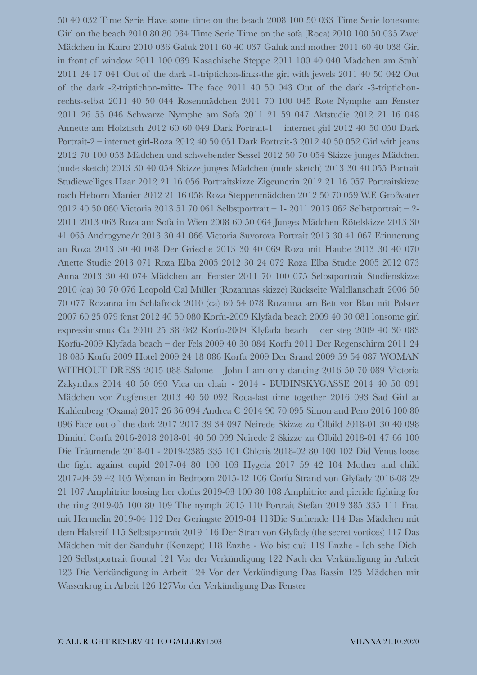50 40 032 Time Serie Have some time on the beach 2008 100 50 033 Time Serie lonesome Girl on the beach 2010 80 80 034 Time Serie Time on the sofa (Roca) 2010 100 50 035 Zwei Mädchen in Kairo 2010 036 Galuk 2011 60 40 037 Galuk and mother 2011 60 40 038 Girl in front of window 2011 100 039 Kasachische Steppe 2011 100 40 040 Mädchen am Stuhl 2011 24 17 041 Out of the dark -1-triptichon-links-the girl with jewels 2011 40 50 042 Out of the dark -2-triptichon-mitte- The face 2011 40 50 043 Out of the dark -3-triptichonrechts-selbst 2011 40 50 044 Rosenmädchen 2011 70 100 045 Rote Nymphe am Fenster 2011 26 55 046 Schwarze Nymphe am Sofa 2011 21 59 047 Aktstudie 2012 21 16 048 Annette am Holztisch 2012 60 60 049 Dark Portrait-1 – internet girl 2012 40 50 050 Dark Portrait-2 – internet girl-Roza 2012 40 50 051 Dark Portrait-3 2012 40 50 052 Girl with jeans 2012 70 100 053 Mädchen und schwebender Sessel 2012 50 70 054 Skizze junges Mädchen (nude sketch) 2013 30 40 054 Skizze junges Mädchen (nude sketch) 2013 30 40 055 Portrait Studiewelliges Haar 2012 21 16 056 Portraitskizze Zigeunerin 2012 21 16 057 Portraitskizze nach Heborn Manier 2012 21 16 058 Roza Steppenmädchen 2012 50 70 059 W.F. Großvater 2012 40 50 060 Victoria 2013 51 70 061 Selbstportrait – 1- 2011 2013 062 Selbstportrait – 2- 2011 2013 063 Roza am Sofa in Wien 2008 60 50 064 Junges Mädchen Rötelskizze 2013 30 41 065 Androgyne/r 2013 30 41 066 Victoria Suvorova Portrait 2013 30 41 067 Erinnerung an Roza 2013 30 40 068 Der Grieche 2013 30 40 069 Roza mit Haube 2013 30 40 070 Anette Studie 2013 071 Roza Elba 2005 2012 30 24 072 Roza Elba Studie 2005 2012 073 Anna 2013 30 40 074 Mädchen am Fenster 2011 70 100 075 Selbstportrait Studienskizze 2010 (ca) 30 70 076 Leopold Cal Müller (Rozannas skizze) Rückseite Waldlanschaft 2006 50 70 077 Rozanna im Schlafrock 2010 (ca) 60 54 078 Rozanna am Bett vor Blau mit Polster 2007 60 25 079 fenst 2012 40 50 080 Korfu-2009 Klyfada beach 2009 40 30 081 lonsome girl expressinismus Ca 2010 25 38 082 Korfu-2009 Klyfada beach – der steg 2009 40 30 083 Korfu-2009 Klyfada beach – der Fels 2009 40 30 084 Korfu 2011 Der Regenschirm 2011 24 18 085 Korfu 2009 Hotel 2009 24 18 086 Korfu 2009 Der Srand 2009 59 54 087 WOMAN WITHOUT DRESS 2015 088 Salome – John I am only dancing 2016 50 70 089 Victoria Zakynthos 2014 40 50 090 Vica on chair - 2014 - BUDINSKYGASSE 2014 40 50 091 Mädchen vor Zugfenster 2013 40 50 092 Roca-last time together 2016 093 Sad Girl at Kahlenberg (Oxana) 2017 26 36 094 Andrea C 2014 90 70 095 Simon and Pero 2016 100 80 096 Face out of the dark 2017 2017 39 34 097 Neirede Skizze zu Ölbild 2018-01 30 40 098 Dimitri Corfu 2016-2018 2018-01 40 50 099 Neirede 2 Skizze zu Ölbild 2018-01 47 66 100 Die Träumende 2018-01 - 2019-2385 335 101 Chloris 2018-02 80 100 102 Did Venus loose the fight against cupid 2017-04 80 100 103 Hygeia 2017 59 42 104 Mother and child 2017-04 59 42 105 Woman in Bedroom 2015-12 106 Corfu Strand von Glyfady 2016-08 29 21 107 Amphitrite loosing her cloths 2019-03 100 80 108 Amphitrite and pieride fighting for the ring 2019-05 100 80 109 The nymph 2015 110 Portrait Stefan 2019 385 335 111 Frau mit Hermelin 2019-04 112 Der Geringste 2019-04 113Die Suchende 114 Das Mädchen mit dem Halsreif 115 Selbstportrait 2019 116 Der Stran von Glyfady (the secret vortices) 117 Das Mädchen mit der Sanduhr (Konzept) 118 Enzhe - Wo bist du? 119 Enzhe - Ich sehe Dich! 120 Selbstportrait frontal 121 Vor der Verkündigung 122 Nach der Verkündigung in Arbeit 123 Die Verkündigung in Arbeit 124 Vor der Verkündigung Das Bassin 125 Mädchen mit Wasserkrug in Arbeit 126 127Vor der Verkündigung Das Fenster